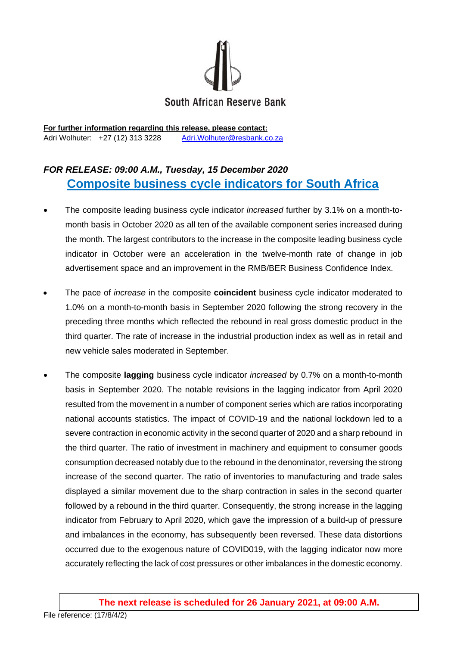

**For further information regarding this release, please contact:**  Adri Wolhuter: +27 (12) 313 3228 Adri.Wolhuter@resbank.co.za

## *FOR RELEASE: 09:00 A.M., Tuesday, 15 December 2020*  **Composite business cycle indicators for South Africa**

- The composite leading business cycle indicator *increased* further by 3.1% on a month-tomonth basis in October 2020 as all ten of the available component series increased during the month. The largest contributors to the increase in the composite leading business cycle indicator in October were an acceleration in the twelve-month rate of change in job advertisement space and an improvement in the RMB/BER Business Confidence Index.
- The pace of *increase* in the composite **coincident** business cycle indicator moderated to 1.0% on a month-to-month basis in September 2020 following the strong recovery in the preceding three months which reflected the rebound in real gross domestic product in the third quarter. The rate of increase in the industrial production index as well as in retail and new vehicle sales moderated in September.
- The composite **lagging** business cycle indicator *increased* by 0.7% on a month-to-month basis in September 2020. The notable revisions in the lagging indicator from April 2020 resulted from the movement in a number of component series which are ratios incorporating national accounts statistics. The impact of COVID-19 and the national lockdown led to a severe contraction in economic activity in the second quarter of 2020 and a sharp rebound in the third quarter. The ratio of investment in machinery and equipment to consumer goods consumption decreased notably due to the rebound in the denominator, reversing the strong increase of the second quarter. The ratio of inventories to manufacturing and trade sales displayed a similar movement due to the sharp contraction in sales in the second quarter followed by a rebound in the third quarter. Consequently, the strong increase in the lagging indicator from February to April 2020, which gave the impression of a build-up of pressure and imbalances in the economy, has subsequently been reversed. These data distortions occurred due to the exogenous nature of COVID019, with the lagging indicator now more accurately reflecting the lack of cost pressures or other imbalances in the domestic economy.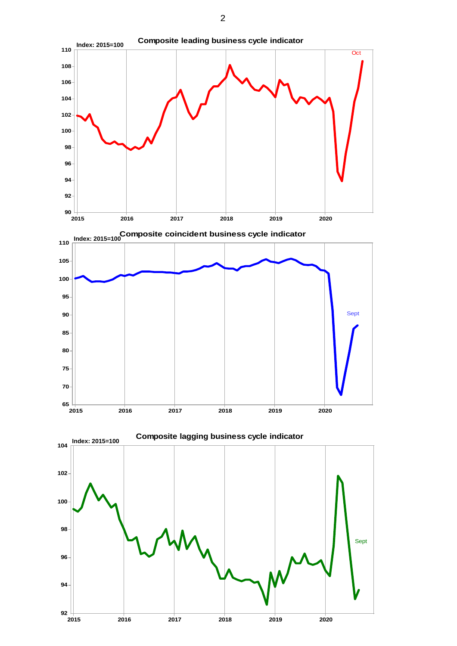